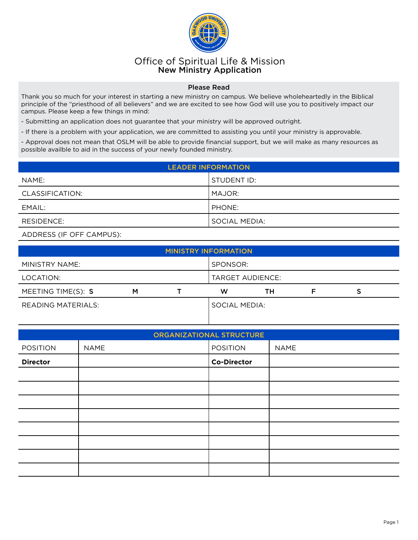

## Office of Spiritual Life & Mission New Ministry Application

## Please Read

Thank you so much for your interest in starting a new ministry on campus. We believe wholeheartedly in the Biblical principle of the "priesthood of all believers" and we are excited to see how God will use you to positively impact our campus. Please keep a few things in mind:

- Submitting an application does not guarantee that your ministry will be approved outright.

- If there is a problem with your application, we are committed to assisting you until your ministry is approvable.

- Approval does not mean that OSLM will be able to provide financial support, but we will make as many resources as possible availble to aid in the success of your newly founded ministry.

| <b>LEADER INFORMATION.</b> |               |  |
|----------------------------|---------------|--|
| NAME:                      | STUDENT ID:   |  |
| CLASSIFICATION:            | l MAJOR:      |  |
| EMAIL:                     | l PHONE:      |  |
| RESIDENCE:                 | SOCIAL MEDIA: |  |

## ADDRESS (IF OFF CAMPUS):

| <b>MINISTRY INFORMATION</b> |   |  |                  |    |  |  |  |
|-----------------------------|---|--|------------------|----|--|--|--|
| MINISTRY NAME:              |   |  | SPONSOR:         |    |  |  |  |
| LOCATION:                   |   |  | TARGET AUDIENCE: |    |  |  |  |
|                             |   |  |                  |    |  |  |  |
| MEETING TIME(S): S          | M |  | w                | ΤН |  |  |  |

|                 |             | <b>ORGANIZATIONAL STRUCTURE</b> |             |
|-----------------|-------------|---------------------------------|-------------|
| <b>POSITION</b> | <b>NAME</b> | <b>POSITION</b>                 | <b>NAME</b> |
| <b>Director</b> |             | <b>Co-Director</b>              |             |
|                 |             |                                 |             |
|                 |             |                                 |             |
|                 |             |                                 |             |
|                 |             |                                 |             |
|                 |             |                                 |             |
|                 |             |                                 |             |
|                 |             |                                 |             |
|                 |             |                                 |             |